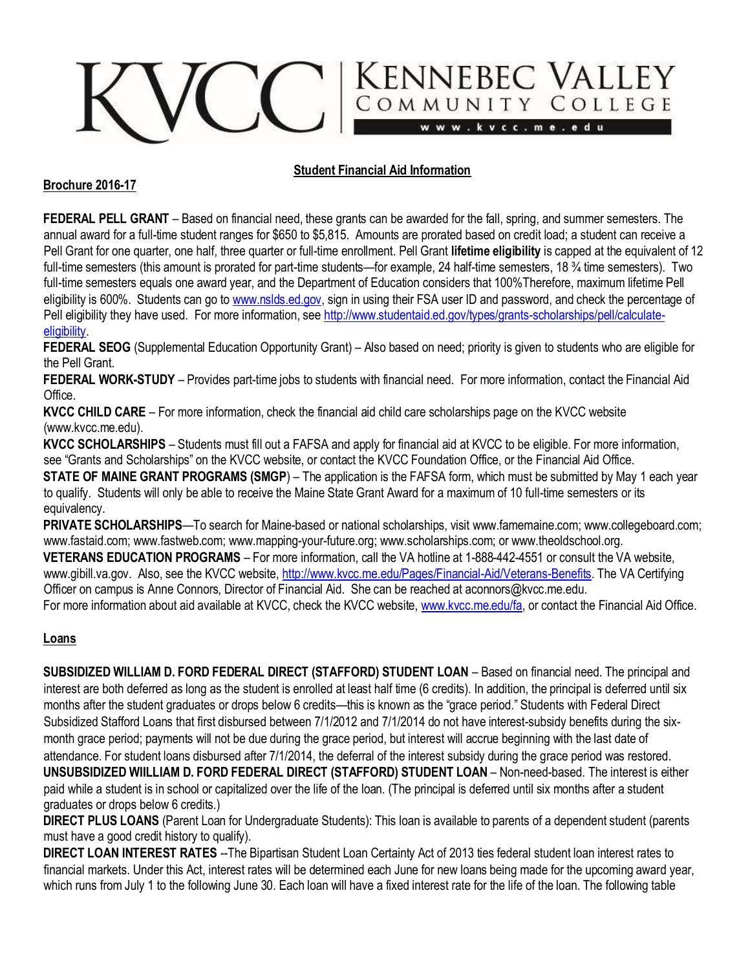# KENNEBEC VALLEY

## **Student Financial Aid Information**

### **Brochure 2016-17**

**FEDERAL PELL GRANT** – Based on financial need, these grants can be awarded for the fall, spring, and summer semesters. The annual award for a full-time student ranges for \$650 to \$5,815. Amounts are prorated based on credit load; a student can receive a Pell Grant for one quarter, one half, three quarter or full-time enrollment. Pell Grant **lifetime eligibility** is capped at the equivalent of 12 full-time semesters (this amount is prorated for part-time students—for example, 24 half-time semesters, 18 <sup>3</sup>/<sub>4</sub> time semesters). Two full-time semesters equals one award year, and the Department of Education considers that 100%Therefore, maximum lifetime Pell eligibility is 600%. Students can go t[o www.nslds.ed.gov,](http://www.nslds.ed.gov/) sign in using their FSA user ID and password, and check the percentage of Pell eligibility they have used. For more information, se[e http://www.studentaid.ed.gov/types/grants-scholarships/pell/calculate](http://www.studentaid.ed.gov/types/grants-scholarships/pell/calculate-eligibility)**eligibility** 

**FEDERAL SEOG** (Supplemental Education Opportunity Grant) – Also based on need; priority is given to students who are eligible for the Pell Grant.

**FEDERAL WORK-STUDY** – Provides part-time jobs to students with financial need. For more information, contact the Financial Aid Office.

**KVCC CHILD CARE** – For more information, check the financial aid child care scholarships page on the KVCC website (www.kvcc.me.edu).

**KVCC SCHOLARSHIPS** – Students must fill out a FAFSA and apply for financial aid at KVCC to be eligible. For more information, see "Grants and Scholarships" on the KVCC website, or contact the KVCC Foundation Office, or the Financial Aid Office.

**STATE OF MAINE GRANT PROGRAMS (SMGP)** – The application is the FAFSA form, which must be submitted by May 1 each year to qualify. Students will only be able to receive the Maine State Grant Award for a maximum of 10 full-time semesters or its equivalency.

**PRIVATE SCHOLARSHIPS**—To search for Maine-based or national scholarships, visi[t www.famemaine.com;](http://www.famemaine.com/) www.collegeboard.com; www.fastaid.com; www.fastweb.com[; www.mapping-your-future.org;](http://www.mapping-your-future.org/) [www.scholarships.com; o](http://www.scholarships.com/)[r www.theoldschool.org.](http://www.theoldschool.or/)

**VETERANS EDUCATION PROGRAMS** – For more information, call the VA hotline at 1-888-442-4551 or consult the VA website, [www.gibill.va.gov.](http://www.gibill.va.gov/) Also, see the KVCC website, [http://www.kvcc.me.edu/Pages/Financial-Aid/Veterans-Benefits. T](http://www.kvcc.me.edu/Pages/Financial-Aid/Veterans-Benefits)he VA Certifying Officer on campus is Anne Connors, Director of Financial Aid. She can be reached at aconnors@kvcc.me.edu. For more information about aid available at KVCC, check the KVCC website[, www.kvcc.me.edu/fa,](http://www.kvcc.me.edu/fa) or contact the Financial Aid Office.

## **Loans**

**SUBSIDIZED WILLIAM D. FORD FEDERAL DIRECT (STAFFORD) STUDENT LOAN** – Based on financial need. The principal and interest are both deferred as long as the student is enrolled at least half time (6 credits). In addition, the principal is deferred until six months after the student graduates or drops below 6 credits—this is known as the "grace period." Students with Federal Direct Subsidized Stafford Loans that first disbursed between 7/1/2012 and 7/1/2014 do not have interest-subsidy benefits during the sixmonth grace period; payments will not be due during the grace period, but interest will accrue beginning with the last date of attendance. For student loans disbursed after 7/1/2014, the deferral of the interest subsidy during the grace period was restored. **UNSUBSIDIZED WIILLIAM D. FORD FEDERAL DIRECT (STAFFORD) STUDENT LOAN** – Non-need-based. The interest is either paid while a student is in school or capitalized over the life of the loan. (The principal is deferred until six months after a student graduates or drops below 6 credits.)

**DIRECT PLUS LOANS** (Parent Loan for Undergraduate Students): This loan is available to parents of a dependent student (parents must have a good credit history to qualify).

**DIRECT LOAN INTEREST RATES** --The Bipartisan Student Loan Certainty Act of 2013 ties federal student loan interest rates to financial markets. Under this Act, interest rates will be determined each June for new loans being made for the upcoming award year, which runs from July 1 to the following June 30. Each loan will have a fixed interest rate for the life of the loan. The following table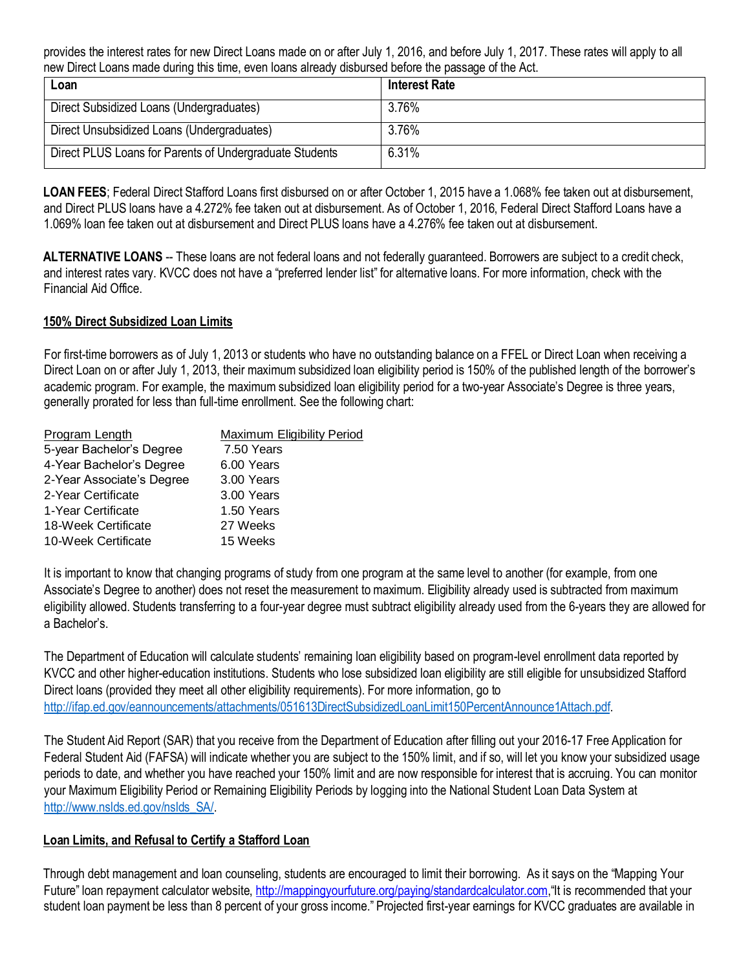provides the interest rates for new Direct Loans made on or after July 1, 2016, and before July 1, 2017. These rates will apply to all new Direct Loans made during this time, even loans already disbursed before the passage of the Act.

| Loan                                                    | <b>Interest Rate</b> |
|---------------------------------------------------------|----------------------|
| Direct Subsidized Loans (Undergraduates)                | 3.76%                |
| Direct Unsubsidized Loans (Undergraduates)              | 3.76%                |
| Direct PLUS Loans for Parents of Undergraduate Students | 6.31%                |

**LOAN FEES**; Federal Direct Stafford Loans first disbursed on or after October 1, 2015 have a 1.068% fee taken out at disbursement, and Direct PLUS loans have a 4.272% fee taken out at disbursement. As of October 1, 2016, Federal Direct Stafford Loans have a 1.069% loan fee taken out at disbursement and Direct PLUS loans have a 4.276% fee taken out at disbursement.

ALTERNATIVE LOANS -- These loans are not federal loans and not federally guaranteed. Borrowers are subject to a credit check, and interest rates vary. KVCC does not have a "preferred lender list" for alternative loans. For more information, check with the Financial Aid Office.

## **150% Direct Subsidized Loan Limits**

For first-time borrowers as of July 1, 2013 or students who have no outstanding balance on a FFEL or Direct Loan when receiving a Direct Loan on or after July 1, 2013, their maximum subsidized loan eligibility period is 150% of the published length of the borrower's academic program. For example, the maximum subsidized loan eligibility period for a two-year Associate's Degree is three years, generally prorated for less than full-time enrollment. See the following chart:

| Program Length            | <b>Maximum Eligibility Period</b> |
|---------------------------|-----------------------------------|
| 5-year Bachelor's Degree  | 7.50 Years                        |
| 4-Year Bachelor's Degree  | 6.00 Years                        |
| 2-Year Associate's Degree | 3.00 Years                        |
| 2-Year Certificate        | 3.00 Years                        |
| 1-Year Certificate        | 1.50 Years                        |
| 18-Week Certificate       | 27 Weeks                          |
| 10-Week Certificate       | 15 Weeks                          |

It is important to know that changing programs of study from one program at the same level to another (for example, from one Associate's Degree to another) does not reset the measurement to maximum. Eligibility already used is subtracted from maximum eligibility allowed. Students transferring to a four-year degree must subtract eligibility already used from the 6-years they are allowed for a Bachelor's.

The Department of Education will calculate students' remaining loan eligibility based on program-level enrollment data reported by KVCC and other higher-education institutions. Students who lose subsidized loan eligibility are still eligible for unsubsidized Stafford Direct loans (provided they meet all other eligibility requirements). For more information, go to [http://ifap.ed.gov/eannouncements/attachments/051613DirectSubsidizedLoanLimit150PercentAnnounce1Attach.pdf.](http://ifap.ed.gov/eannouncements/attachments/051613DirectSubsidizedLoanLimit150PercentAnnounce1Attach.pdf)

The Student Aid Report (SAR) that you receive from the Department of Education after filling out your 2016-17 Free Application for Federal Student Aid (FAFSA) will indicate whether you are subject to the 150% limit, and if so, will let you know your subsidized usage periods to date, and whether you have reached your 150% limit and are now responsible for interest that is accruing. You can monitor your Maximum Eligibility Period or Remaining Eligibility Periods by logging into the National Student Loan Data System at [http://www.nslds.ed.gov/nslds\\_SA/.](http://www.nslds.ed.gov/nslds_SA/)

#### **Loan Limits, and Refusal to Certify a Stafford Loan**

Through debt management and loan counseling, students are encouraged to limit their borrowing. As it says on the "Mapping Your Future" loan repayment calculator website, [http://mappingyourfuture.org/paying/standardcalculator.com,](http://mappingyourfuture.org/paying/standardcalculator.com)"It is recommended that your student loan payment be less than 8 percent of your gross income." Projected first-year earnings for KVCC graduates are available in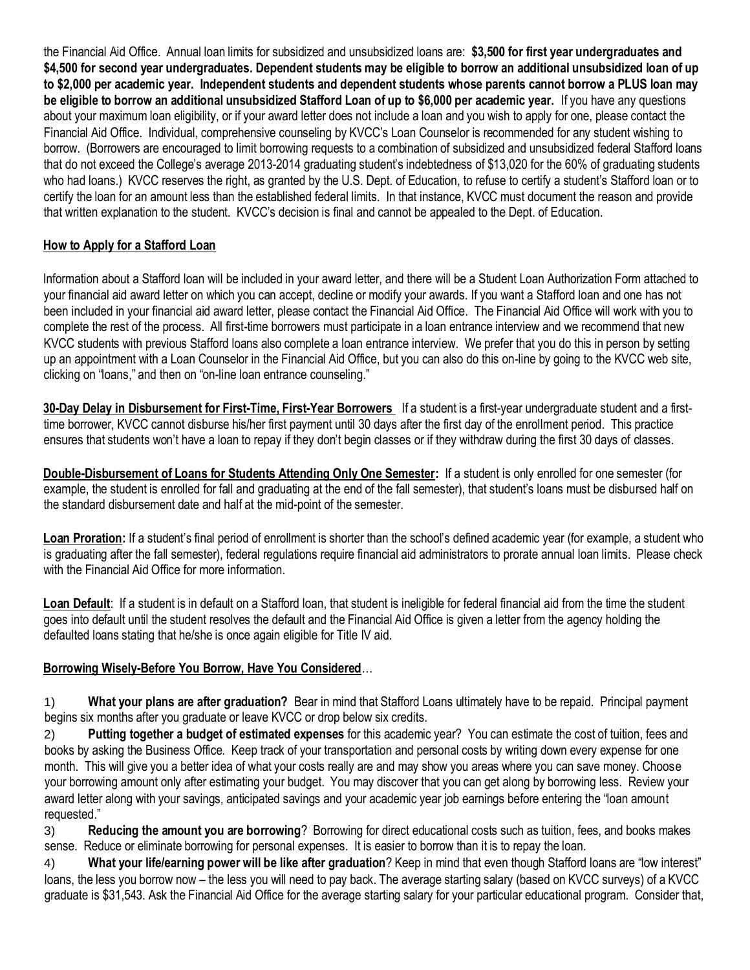the Financial Aid Office. Annual loan limits for subsidized and unsubsidized loans are: **\$3,500 for first year undergraduates and \$4,500 for second year undergraduates. Dependent students may be eligible to borrow an additional unsubsidized loan of up to \$2,000 per academic year. Independent students and dependent students whose parents cannot borrow a PLUS loan may be eligible to borrow an additional unsubsidized Stafford Loan of up to \$6,000 per academic year.** If you have any questions about your maximum loan eligibility, or if your award letter does not include a loan and you wish to apply for one, please contact the Financial Aid Office. Individual, comprehensive counseling by KVCC's Loan Counselor is recommended for any student wishing to borrow. (Borrowers are encouraged to limit borrowing requests to a combination of subsidized and unsubsidized federal Stafford loans that do not exceed the College's average 2013-2014 graduating student's indebtedness of \$13,020 for the 60% of graduating students who had loans.) KVCC reserves the right, as granted by the U.S. Dept. of Education, to refuse to certify a student's Stafford loan or to certify the loan for an amount less than the established federal limits. In that instance, KVCC must document the reason and provide that written explanation to the student. KVCC's decision is final and cannot be appealed to the Dept. of Education.

# **How to Apply for a Stafford Loan**

Information about a Stafford loan will be included in your award letter, and there will be a Student Loan Authorization Form attached to your financial aid award letter on which you can accept, decline or modify your awards. If you want a Stafford loan and one has not been included in your financial aid award letter, please contact the Financial Aid Office. The Financial Aid Office will work with you to complete the rest of the process. All first-time borrowers must participate in a loan entrance interview and we recommend that new KVCC students with previous Stafford loans also complete a loan entrance interview. We prefer that you do this in person by setting up an appointment with a Loan Counselor in the Financial Aid Office, but you can also do this on-line by going to the KVCC web site, clicking on "loans," and then on "on-line loan entrance counseling."

**30-Day Delay in Disbursement for First-Time, First-Year Borrowers** If a student is a first-year undergraduate student and a firsttime borrower, KVCC cannot disburse his/her first payment until 30 days after the first day of the enrollment period. This practice ensures that students won't have a loan to repay if they don't begin classes or if they withdraw during the first 30 days of classes.

**Double-Disbursement of Loans for Students Attending Only One Semester:** If a student is only enrolled for one semester (for example, the student is enrolled for fall and graduating at the end of the fall semester), that student's loans must be disbursed half on the standard disbursement date and half at the mid-point of the semester.

Loan Proration: If a student's final period of enrollment is shorter than the school's defined academic year (for example, a student who is graduating after the fall semester), federal regulations require financial aid administrators to prorate annual loan limits. Please check with the Financial Aid Office for more information.

Loan Default: If a student is in default on a Stafford loan, that student is ineligible for federal financial aid from the time the student goes into default until the student resolves the default and the Financial Aid Office is given a letter from the agency holding the defaulted loans stating that he/she is once again eligible for Title IV aid.

# **Borrowing Wisely-Before You Borrow, Have You Considered**…

1) **What your plans are after graduation?** Bear in mind that Stafford Loans ultimately have to be repaid. Principal payment begins six months after you graduate or leave KVCC or drop below six credits.

2) **Putting together a budget of estimated expenses** for this academic year? You can estimate the cost of tuition, fees and books by asking the Business Office. Keep track of your transportation and personal costs by writing down every expense for one month. This will give you a better idea of what your costs really are and may show you areas where you can save money. Choose your borrowing amount only after estimating your budget. You may discover that you can get along by borrowing less. Review your award letter along with your savings, anticipated savings and your academic year job earnings before entering the "loan amount requested."

3) **Reducing the amount you are borrowing**? Borrowing for direct educational costs such as tuition, fees, and books makes sense. Reduce or eliminate borrowing for personal expenses. It is easier to borrow than it is to repay the loan.

4) **What your life/earning power will be like after graduation**? Keep in mind that even though Stafford loans are "low interest" loans, the less you borrow now – the less you will need to pay back. The average starting salary (based on KVCC surveys) of a KVCC graduate is \$31,543. Ask the Financial Aid Office for the average starting salary for your particular educational program. Consider that,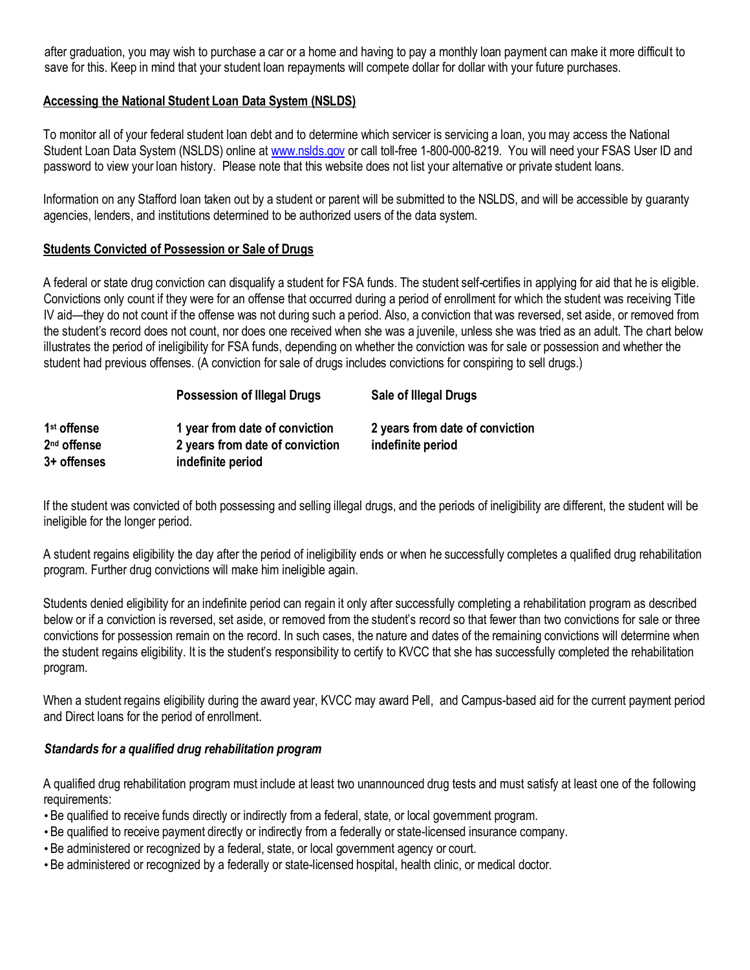after graduation, you may wish to purchase a car or a home and having to pay a monthly loan payment can make it more difficult to save for this. Keep in mind that your student loan repayments will compete dollar for dollar with your future purchases.

## **Accessing the National Student Loan Data System (NSLDS)**

To monitor all of your federal student loan debt and to determine which servicer is servicing a loan, you may access the National Student Loan Data System (NSLDS) online at [www.nslds.gov](http://www.nslds.gov/) or call toll-free 1-800-000-8219. You will need your FSAS User ID and password to view your loan history. Please note that this website does not list your alternative or private student loans.

Information on any Stafford loan taken out by a student or parent will be submitted to the NSLDS, and will be accessible by guaranty agencies, lenders, and institutions determined to be authorized users of the data system.

### **Students Convicted of Possession or Sale of Drugs**

A federal or state drug conviction can disqualify a student for FSA funds. The student self-certifies in applying for aid that he is eligible. Convictions only count if they were for an offense that occurred during a period of enrollment for which the student was receiving Title IV aid—they do not count if the offense was not during such a period. Also, a conviction that was reversed, set aside, or removed from the student's record does not count, nor does one received when she was a juvenile, unless she was tried as an adult. The chart below illustrates the period of ineligibility for FSA funds, depending on whether the conviction was for sale or possession and whether the student had previous offenses. (A conviction for sale of drugs includes convictions for conspiring to sell drugs.)

|                         | Possession of Illegal Drugs     | Sale of Illegal Drugs           |
|-------------------------|---------------------------------|---------------------------------|
| 1 <sup>st</sup> offense | 1 year from date of conviction  | 2 years from date of conviction |
| 2 <sup>nd</sup> offense | 2 years from date of conviction | indefinite period               |
| 3+ offenses             | indefinite period               |                                 |

If the student was convicted of both possessing and selling illegal drugs, and the periods of ineligibility are different, the student will be ineligible for the longer period.

A student regains eligibility the day after the period of ineligibility ends or when he successfully completes a qualified drug rehabilitation program. Further drug convictions will make him ineligible again.

Students denied eligibility for an indefinite period can regain it only after successfully completing a rehabilitation program as described below or if a conviction is reversed, set aside, or removed from the student's record so that fewer than two convictions for sale or three convictions for possession remain on the record. In such cases, the nature and dates of the remaining convictions will determine when the student regains eligibility. It is the student's responsibility to certify to KVCC that she has successfully completed the rehabilitation program.

When a student regains eligibility during the award year, KVCC may award Pell, and Campus-based aid for the current payment period and Direct loans for the period of enrollment.

#### *Standards for a qualified drug rehabilitation program*

A qualified drug rehabilitation program must include at least two unannounced drug tests and must satisfy at least one of the following requirements:

- •Be qualified to receive funds directly or indirectly from a federal, state, or local government program.
- •Be qualified to receive payment directly or indirectly from a federally or state-licensed insurance company.
- •Be administered or recognized by a federal, state, or local government agency or court.
- •Be administered or recognized by a federally or state-licensed hospital, health clinic, or medical doctor.